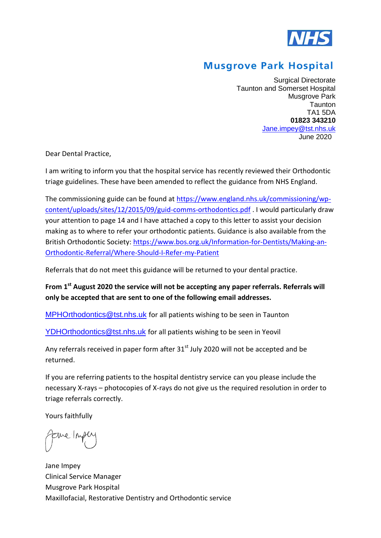

## **Musgrove Park Hospital**

Surgical Directorate Taunton and Somerset Hospital Musgrove Park **Taunton** TA1 5DA **01823 343210** [Jane.impey@tst.nhs.uk](mailto:Jane.impey@tst.nhs.uk) June 2020

Dear Dental Practice,

I am writing to inform you that the hospital service has recently reviewed their Orthodontic triage guidelines. These have been amended to reflect the guidance from NHS England.

The commissioning guide can be found at [https://www.england.nhs.uk/commissioning/wp](https://www.england.nhs.uk/commissioning/wp-content/uploads/sites/12/2015/09/guid-comms-orthodontics.pdf)[content/uploads/sites/12/2015/09/guid-comms-orthodontics.pdf](https://www.england.nhs.uk/commissioning/wp-content/uploads/sites/12/2015/09/guid-comms-orthodontics.pdf) . I would particularly draw your attention to page 14 and I have attached a copy to this letter to assist your decision making as to where to refer your orthodontic patients. Guidance is also available from the British Orthodontic Society: [https://www.bos.org.uk/Information-for-Dentists/Making-an-](https://www.bos.org.uk/Information-for-Dentists/Making-an-Orthodontic-Referral/Where-Should-I-Refer-my-Patient)[Orthodontic-Referral/Where-Should-I-Refer-my-Patient](https://www.bos.org.uk/Information-for-Dentists/Making-an-Orthodontic-Referral/Where-Should-I-Refer-my-Patient)

Referrals that do not meet this guidance will be returned to your dental practice.

**From 1st August 2020 the service will not be accepting any paper referrals. Referrals will only be accepted that are sent to one of the following email addresses.** 

[MPHOrthodontics@tst.nhs.uk](mailto:MPHOrthodontics@tst.nhs.uk) for all patients wishing to be seen in Taunton

[YDHOrthodontics@tst.nhs.uk](mailto:YDHOrthodontics@tst.nhs.uk) for all patients wishing to be seen in Yeovil

Any referrals received in paper form after  $31<sup>st</sup>$  July 2020 will not be accepted and be returned.

If you are referring patients to the hospital dentistry service can you please include the necessary X-rays – photocopies of X-rays do not give us the required resolution in order to triage referrals correctly.

Yours faithfully

Me/M

Jane Impey Clinical Service Manager Musgrove Park Hospital Maxillofacial, Restorative Dentistry and Orthodontic service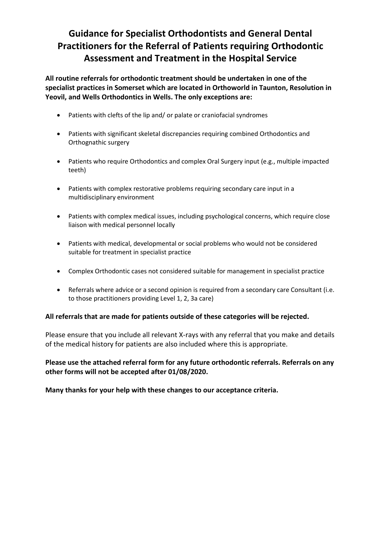## **Guidance for Specialist Orthodontists and General Dental Practitioners for the Referral of Patients requiring Orthodontic Assessment and Treatment in the Hospital Service**

**All routine referrals for orthodontic treatment should be undertaken in one of the specialist practices in Somerset which are located in Orthoworld in Taunton, Resolution in Yeovil, and Wells Orthodontics in Wells. The only exceptions are:** 

- Patients with clefts of the lip and/ or palate or craniofacial syndromes
- Patients with significant skeletal discrepancies requiring combined Orthodontics and Orthognathic surgery
- Patients who require Orthodontics and complex Oral Surgery input (e.g., multiple impacted teeth)
- Patients with complex restorative problems requiring secondary care input in a multidisciplinary environment
- Patients with complex medical issues, including psychological concerns, which require close liaison with medical personnel locally
- Patients with medical, developmental or social problems who would not be considered suitable for treatment in specialist practice
- Complex Orthodontic cases not considered suitable for management in specialist practice
- Referrals where advice or a second opinion is required from a secondary care Consultant (i.e. to those practitioners providing Level 1, 2, 3a care)

## **All referrals that are made for patients outside of these categories will be rejected.**

Please ensure that you include all relevant X-rays with any referral that you make and details of the medical history for patients are also included where this is appropriate.

**Please use the attached referral form for any future orthodontic referrals. Referrals on any other forms will not be accepted after 01/08/2020.** 

**Many thanks for your help with these changes to our acceptance criteria.**